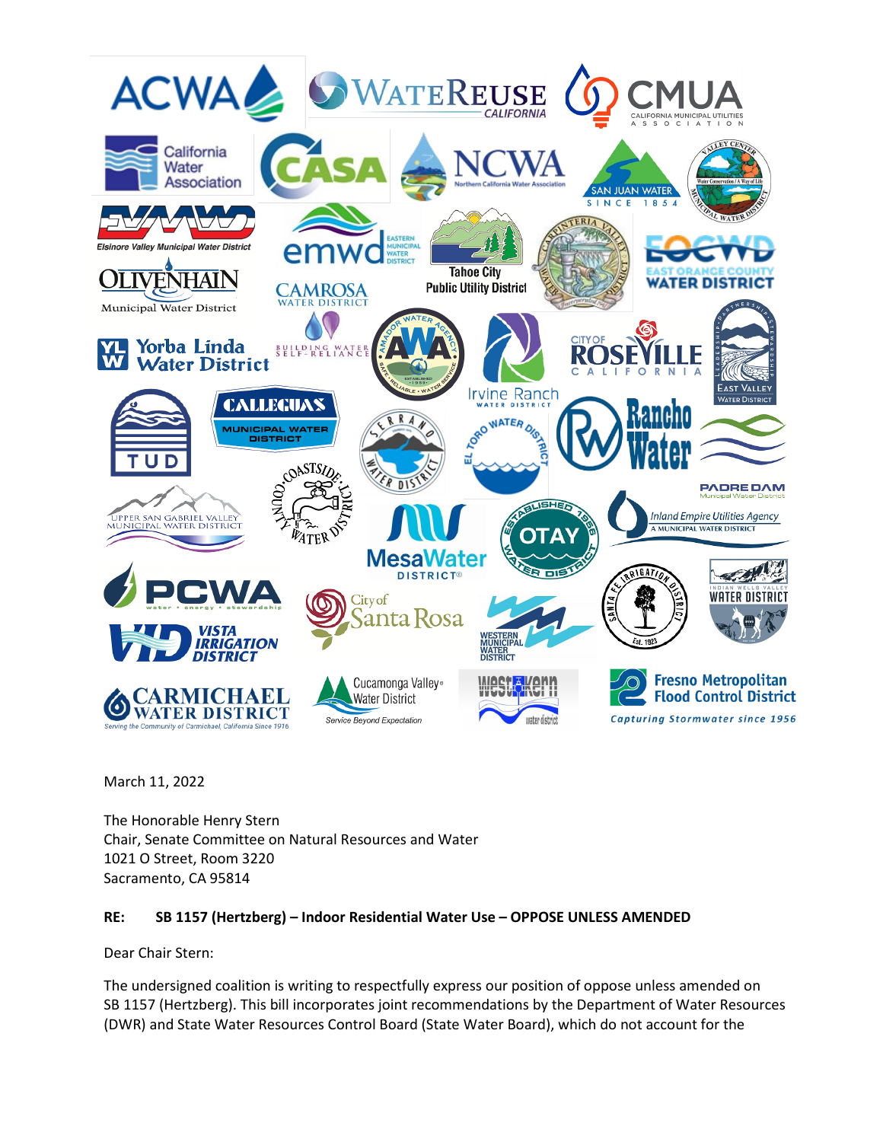

March 11, 2022

The Honorable Henry Stern Chair, Senate Committee on Natural Resources and Water 1021 O Street, Room 3220 Sacramento, CA 95814

## **RE: SB 1157 (Hertzberg) – Indoor Residential Water Use – OPPOSE UNLESS AMENDED**

Dear Chair Stern:

The undersigned coalition is writing to respectfully express our position of oppose unless amended on SB 1157 (Hertzberg). This bill incorporates joint recommendations by the Department of Water Resources (DWR) and State Water Resources Control Board (State Water Board), which do not account for the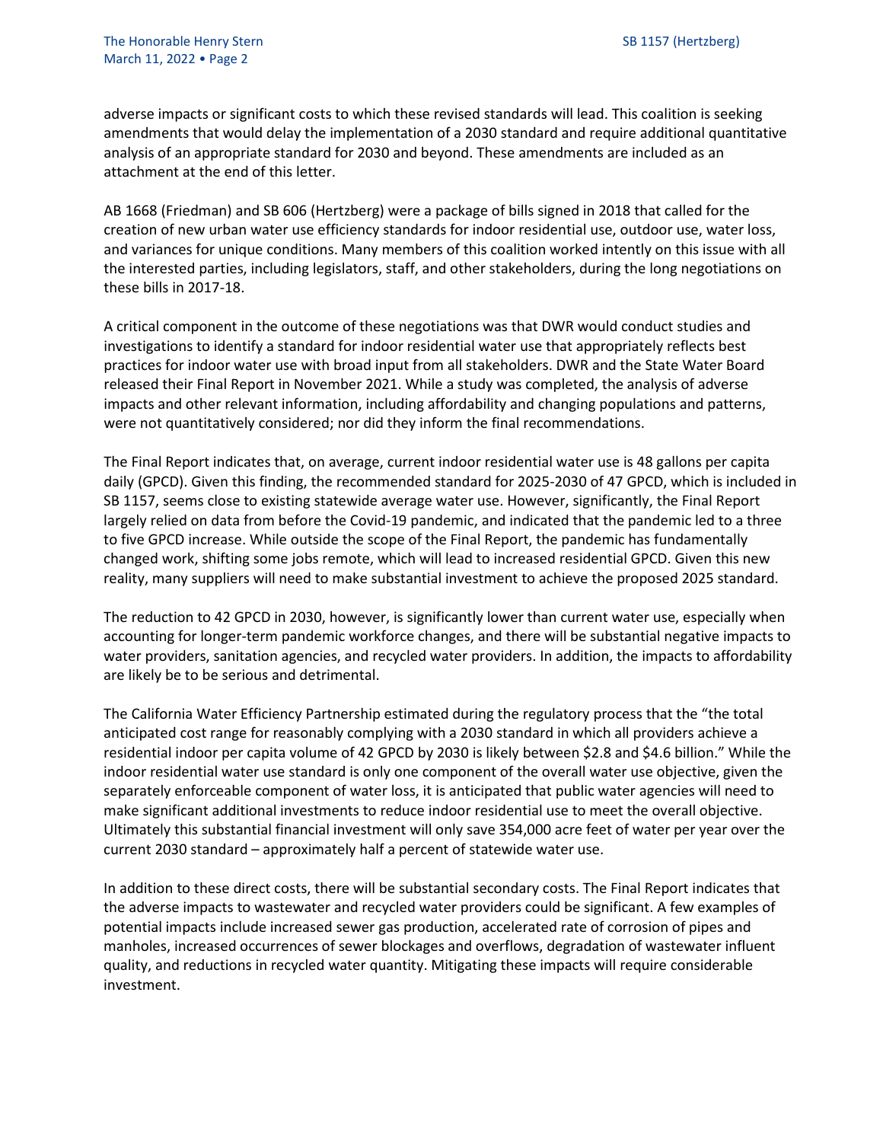adverse impacts or significant costs to which these revised standards will lead. This coalition is seeking amendments that would delay the implementation of a 2030 standard and require additional quantitative analysis of an appropriate standard for 2030 and beyond. These amendments are included as an attachment at the end of this letter.

AB 1668 (Friedman) and SB 606 (Hertzberg) were a package of bills signed in 2018 that called for the creation of new urban water use efficiency standards for indoor residential use, outdoor use, water loss, and variances for unique conditions. Many members of this coalition worked intently on this issue with all the interested parties, including legislators, staff, and other stakeholders, during the long negotiations on these bills in 2017-18.

A critical component in the outcome of these negotiations was that DWR would conduct studies and investigations to identify a standard for indoor residential water use that appropriately reflects best practices for indoor water use with broad input from all stakeholders. DWR and the State Water Board released their Final Report in November 2021. While a study was completed, the analysis of adverse impacts and other relevant information, including affordability and changing populations and patterns, were not quantitatively considered; nor did they inform the final recommendations.

The Final Report indicates that, on average, current indoor residential water use is 48 gallons per capita daily (GPCD). Given this finding, the recommended standard for 2025-2030 of 47 GPCD, which is included in SB 1157, seems close to existing statewide average water use. However, significantly, the Final Report largely relied on data from before the Covid-19 pandemic, and indicated that the pandemic led to a three to five GPCD increase. While outside the scope of the Final Report, the pandemic has fundamentally changed work, shifting some jobs remote, which will lead to increased residential GPCD. Given this new reality, many suppliers will need to make substantial investment to achieve the proposed 2025 standard.

The reduction to 42 GPCD in 2030, however, is significantly lower than current water use, especially when accounting for longer-term pandemic workforce changes, and there will be substantial negative impacts to water providers, sanitation agencies, and recycled water providers. In addition, the impacts to affordability are likely be to be serious and detrimental.

The California Water Efficiency Partnership estimated during the regulatory process that the "the total anticipated cost range for reasonably complying with a 2030 standard in which all providers achieve a residential indoor per capita volume of 42 GPCD by 2030 is likely between \$2.8 and \$4.6 billion." While the indoor residential water use standard is only one component of the overall water use objective, given the separately enforceable component of water loss, it is anticipated that public water agencies will need to make significant additional investments to reduce indoor residential use to meet the overall objective. Ultimately this substantial financial investment will only save 354,000 acre feet of water per year over the current 2030 standard – approximately half a percent of statewide water use.

In addition to these direct costs, there will be substantial secondary costs. The Final Report indicates that the adverse impacts to wastewater and recycled water providers could be significant. A few examples of potential impacts include increased sewer gas production, accelerated rate of corrosion of pipes and manholes, increased occurrences of sewer blockages and overflows, degradation of wastewater influent quality, and reductions in recycled water quantity. Mitigating these impacts will require considerable investment.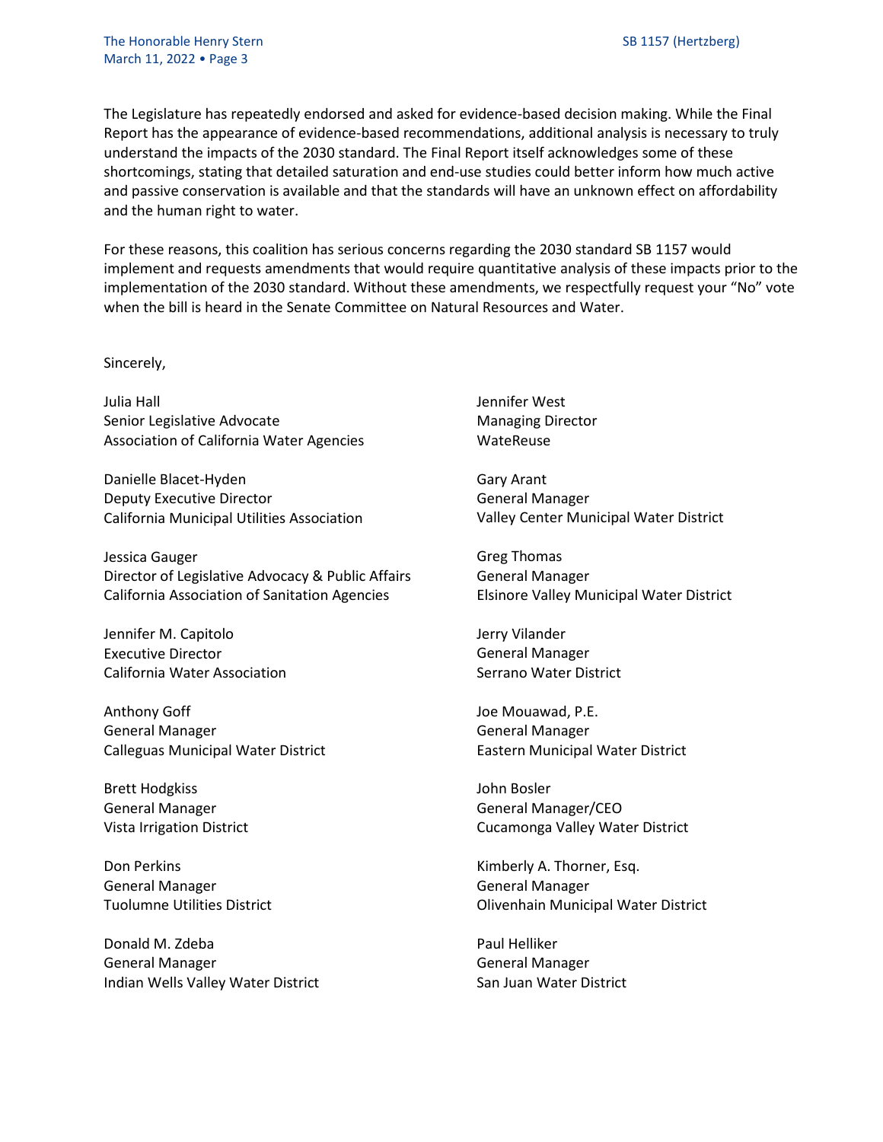The Legislature has repeatedly endorsed and asked for evidence-based decision making. While the Final Report has the appearance of evidence-based recommendations, additional analysis is necessary to truly understand the impacts of the 2030 standard. The Final Report itself acknowledges some of these shortcomings, stating that detailed saturation and end-use studies could better inform how much active and passive conservation is available and that the standards will have an unknown effect on affordability and the human right to water.

For these reasons, this coalition has serious concerns regarding the 2030 standard SB 1157 would implement and requests amendments that would require quantitative analysis of these impacts prior to the implementation of the 2030 standard. Without these amendments, we respectfully request your "No" vote when the bill is heard in the Senate Committee on Natural Resources and Water.

Sincerely,

Julia Hall Senior Legislative Advocate Association of California Water Agencies

Danielle Blacet-Hyden Deputy Executive Director California Municipal Utilities Association

Jessica Gauger Director of Legislative Advocacy & Public Affairs California Association of Sanitation Agencies

Jennifer M. Capitolo Executive Director California Water Association

Anthony Goff General Manager Calleguas Municipal Water District

Brett Hodgkiss General Manager Vista Irrigation District

Don Perkins General Manager Tuolumne Utilities District

Donald M. Zdeba General Manager Indian Wells Valley Water District Jennifer West Managing Director WateReuse

Gary Arant General Manager Valley Center Municipal Water District

Greg Thomas General Manager Elsinore Valley Municipal Water District

Jerry Vilander General Manager Serrano Water District

Joe Mouawad, P.E. General Manager Eastern Municipal Water District

John Bosler General Manager/CEO Cucamonga Valley Water District

Kimberly A. Thorner, Esq. General Manager Olivenhain Municipal Water District

Paul Helliker General Manager San Juan Water District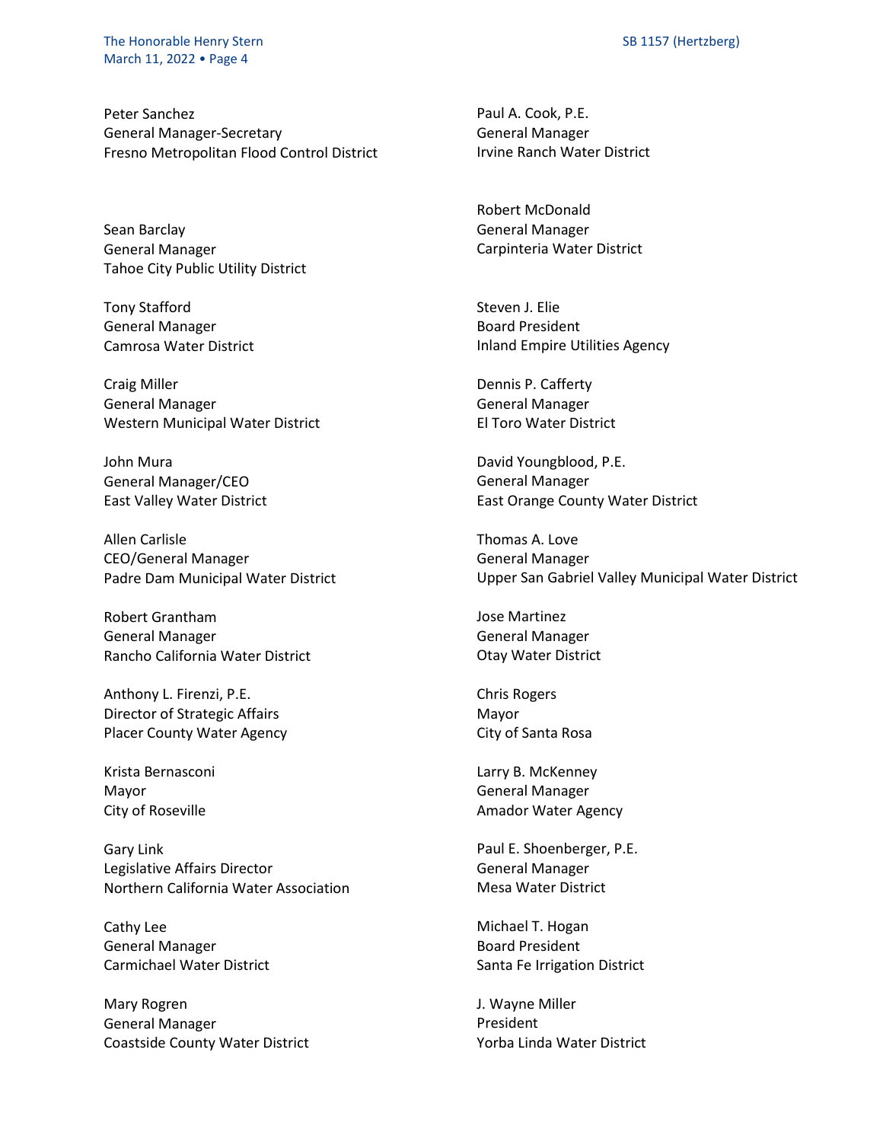The Honorable Henry Stern Stern Stern SB 1157 (Hertzberg) March 11, 2022 • Page 4

Peter Sanchez General Manager-Secretary Fresno Metropolitan Flood Control District

Sean Barclay General Manager Tahoe City Public Utility District

Tony Stafford General Manager Camrosa Water District

Craig Miller General Manager Western Municipal Water District

John Mura General Manager/CEO East Valley Water District

Allen Carlisle CEO/General Manager Padre Dam Municipal Water District

Robert Grantham General Manager Rancho California Water District

Anthony L. Firenzi, P.E. Director of Strategic Affairs Placer County Water Agency

Krista Bernasconi Mayor City of Roseville

Gary Link Legislative Affairs Director Northern California Water Association

Cathy Lee General Manager Carmichael Water District

Mary Rogren General Manager Coastside County Water District Paul A. Cook, P.E. General Manager Irvine Ranch Water District

Robert McDonald General Manager Carpinteria Water District

Steven J. Elie Board President Inland Empire Utilities Agency

Dennis P. Cafferty General Manager El Toro Water District

David Youngblood, P.E. General Manager East Orange County Water District

Thomas A. Love General Manager Upper San Gabriel Valley Municipal Water District

Jose Martinez General Manager Otay Water District

Chris Rogers Mayor City of Santa Rosa

Larry B. McKenney General Manager Amador Water Agency

Paul E. Shoenberger, P.E. General Manager Mesa Water District

Michael T. Hogan Board President Santa Fe Irrigation District

J. Wayne Miller President Yorba Linda Water District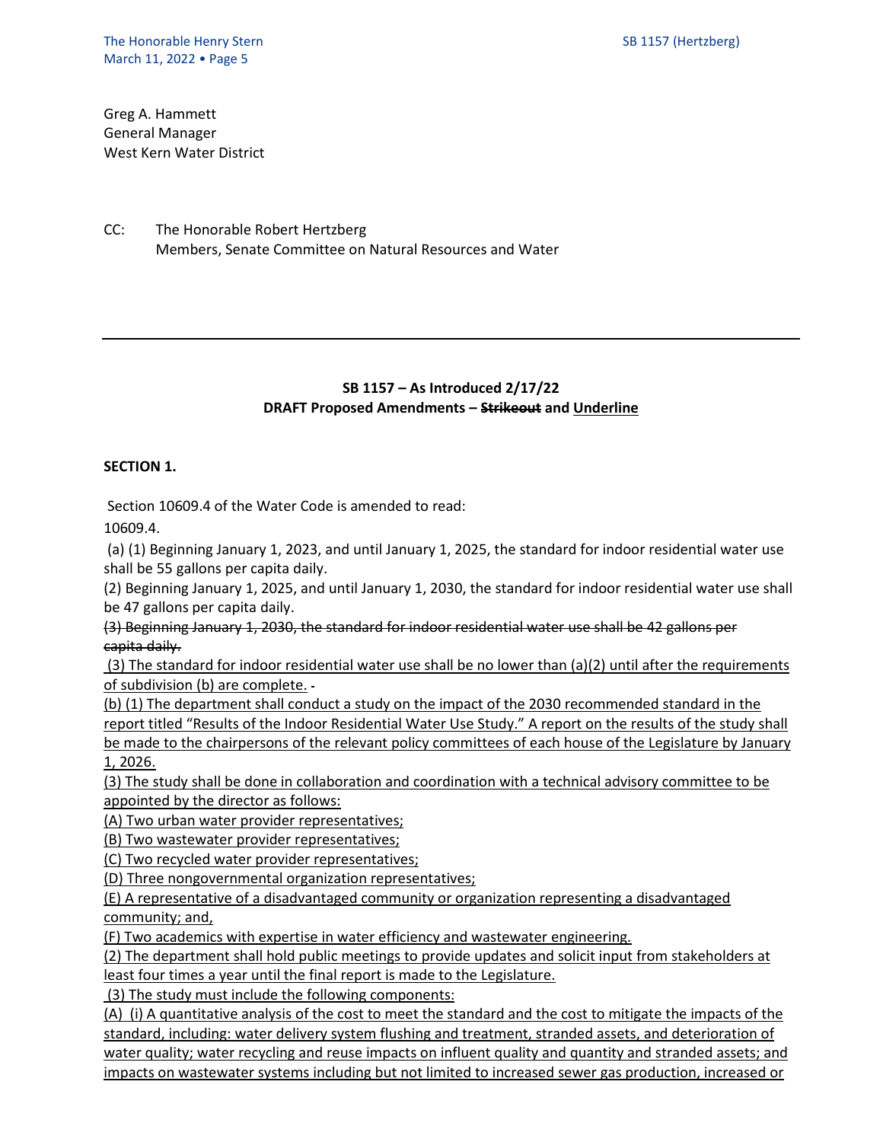Greg A. Hammett General Manager West Kern Water District

CC: The Honorable Robert Hertzberg Members, Senate Committee on Natural Resources and Water

## **SB 1157 – As Introduced 2/17/22 DRAFT Proposed Amendments – Strikeout and Underline**

## **SECTION 1.**

Section 10609.4 of the Water Code is amended to read:

10609.4.

(a) (1) Beginning January 1, 2023, and until January 1, 2025, the standard for indoor residential water use shall be 55 gallons per capita daily.

(2) Beginning January 1, 2025, and until January 1, 2030, the standard for indoor residential water use shall be 47 gallons per capita daily.

(3) Beginning January 1, 2030, the standard for indoor residential water use shall be 42 gallons per capita daily.

(3) The standard for indoor residential water use shall be no lower than (a)(2) until after the requirements of subdivision (b) are complete.

(b) (1) The department shall conduct a study on the impact of the 2030 recommended standard in the report titled "Results of the Indoor Residential Water Use Study." A report on the results of the study shall be made to the chairpersons of the relevant policy committees of each house of the Legislature by January 1, 2026.

(3) The study shall be done in collaboration and coordination with a technical advisory committee to be appointed by the director as follows:

(A) Two urban water provider representatives;

(B) Two wastewater provider representatives;

(C) Two recycled water provider representatives;

(D) Three nongovernmental organization representatives;

(E) A representative of a disadvantaged community or organization representing a disadvantaged community; and,

(F) Two academics with expertise in water efficiency and wastewater engineering.

(2) The department shall hold public meetings to provide updates and solicit input from stakeholders at least four times a year until the final report is made to the Legislature.

(3) The study must include the following components:

(A) (i) A quantitative analysis of the cost to meet the standard and the cost to mitigate the impacts of the standard, including: water delivery system flushing and treatment, stranded assets, and deterioration of water quality; water recycling and reuse impacts on influent quality and quantity and stranded assets; and impacts on wastewater systems including but not limited to increased sewer gas production, increased or